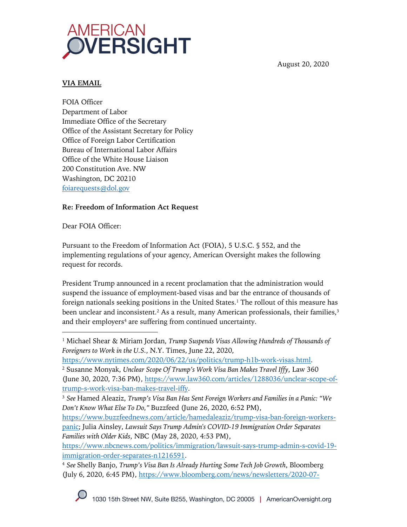

August 20, 2020

## **VIA EMAIL**

FOIA Officer Department of Labor Immediate Office of the Secretary Office of the Assistant Secretary for Policy Office of Foreign Labor Certification Bureau of International Labor Affairs Office of the White House Liaison 200 Constitution Ave. NW Washington, DC 20210 foiarequests@dol.gov

# **Re: Freedom of Information Act Request**

Dear FOIA Officer:

Pursuant to the Freedom of Information Act (FOIA), 5 U.S.C. § 552, and the implementing regulations of your agency, American Oversight makes the following request for records.

President Trump announced in a recent proclamation that the administration would suspend the issuance of employment-based visas and bar the entrance of thousands of foreign nationals seeking positions in the United States.<sup>1</sup> The rollout of this measure has been unclear and inconsistent.<sup>2</sup> As a result, many American professionals, their families, $3$ and their employers<sup>4</sup> are suffering from continued uncertainty.

https://www.nbcnews.com/politics/immigration/lawsuit-says-trump-admin-s-covid-19 immigration-order-separates-n1216591.

<sup>1</sup> Michael Shear & Miriam Jordan, *Trump Suspends Visas Allowing Hundreds of Thousands of Foreigners to Work in the U.S.*, N.Y. Times, June 22, 2020,

https://www.nytimes.com/2020/06/22/us/politics/trump-h1b-work-visas.html.

<sup>2</sup> Susanne Monyak, *Unclear Scope Of Trump's Work Visa Ban Makes Travel Iffy*, Law 360 (June 30, 2020, 7:36 PM), https://www.law360.com/articles/1288036/unclear-scope-oftrump-s-work-visa-ban-makes-travel-iffy.

<sup>3</sup> *See* Hamed Aleaziz, *Trump's Visa Ban Has Sent Foreign Workers and Families in a Panic: "We Don't Know What Else To Do,"* Buzzfeed (June 26, 2020, 6:52 PM),

https://www.buzzfeednews.com/article/hamedaleaziz/trump-visa-ban-foreign-workerspanic; Julia Ainsley, *Lawsuit Says Trump Admin's COVID-19 Immigration Order Separates Families with Older Kids*, NBC (May 28, 2020, 4:53 PM),

<sup>4</sup> *See* Shelly Banjo, *Trump's Visa Ban Is Already Hurting Some Tech Job Growth*, Bloomberg (July 6, 2020, 6:45 PM), https://www.bloomberg.com/news/newsletters/2020-07-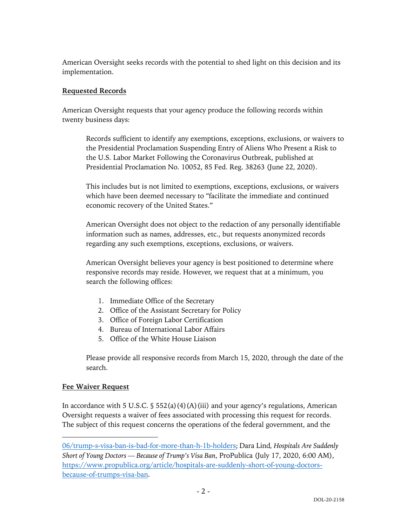American Oversight seeks records with the potential to shed light on this decision and its implementation.

## **Requested Records**

American Oversight requests that your agency produce the following records within twenty business days:

Records sufficient to identify any exemptions, exceptions, exclusions, or waivers to the Presidential Proclamation Suspending Entry of Aliens Who Present a Risk to the U.S. Labor Market Following the Coronavirus Outbreak, published at Presidential Proclamation No. 10052, 85 Fed. Reg. 38263 (June 22, 2020).

This includes but is not limited to exemptions, exceptions, exclusions, or waivers which have been deemed necessary to "facilitate the immediate and continued economic recovery of the United States."

American Oversight does not object to the redaction of any personally identifiable information such as names, addresses, etc., but requests anonymized records regarding any such exemptions, exceptions, exclusions, or waivers.

American Oversight believes your agency is best positioned to determine where responsive records may reside. However, we request that at a minimum, you search the following offices:

- 1. Immediate Office of the Secretary
- 2. Office of the Assistant Secretary for Policy
- 3. Office of Foreign Labor Certification
- 4. Bureau of International Labor Affairs
- 5. Office of the White House Liaison

Please provide all responsive records from March 15, 2020, through the date of the search.

### **Fee Waiver Request**

In accordance with 5 U.S.C.  $\frac{1}{5}$  552(a)(4)(A)(iii) and your agency's regulations, American Oversight requests a waiver of fees associated with processing this request for records. The subject of this request concerns the operations of the federal government, and the

<sup>06/</sup>trump-s-visa-ban-is-bad-for-more-than-h-1b-holders; Dara Lind*, Hospitals Are Suddenly Short of Young Doctors — Because of Trump's Visa Ban*, ProPublica (July 17, 2020, 6:00 AM), https://www.propublica.org/article/hospitals-are-suddenly-short-of-young-doctorsbecause-of-trumps-visa-ban.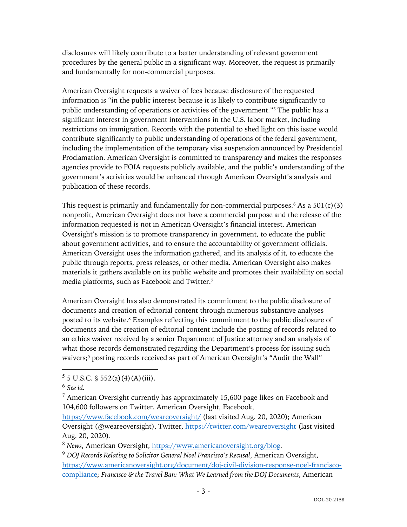disclosures will likely contribute to a better understanding of relevant government procedures by the general public in a significant way. Moreover, the request is primarily and fundamentally for non-commercial purposes.

American Oversight requests a waiver of fees because disclosure of the requested information is "in the public interest because it is likely to contribute significantly to public understanding of operations or activities of the government."5 The public has a significant interest in government interventions in the U.S. labor market, including restrictions on immigration. Records with the potential to shed light on this issue would contribute significantly to public understanding of operations of the federal government, including the implementation of the temporary visa suspension announced by Presidential Proclamation. American Oversight is committed to transparency and makes the responses agencies provide to FOIA requests publicly available, and the public's understanding of the government's activities would be enhanced through American Oversight's analysis and publication of these records.

This request is primarily and fundamentally for non-commercial purposes.<sup>6</sup> As a  $501(c)(3)$ nonprofit, American Oversight does not have a commercial purpose and the release of the information requested is not in American Oversight's financial interest. American Oversight's mission is to promote transparency in government, to educate the public about government activities, and to ensure the accountability of government officials. American Oversight uses the information gathered, and its analysis of it, to educate the public through reports, press releases, or other media. American Oversight also makes materials it gathers available on its public website and promotes their availability on social media platforms, such as Facebook and Twitter.7

American Oversight has also demonstrated its commitment to the public disclosure of documents and creation of editorial content through numerous substantive analyses posted to its website.<sup>8</sup> Examples reflecting this commitment to the public disclosure of documents and the creation of editorial content include the posting of records related to an ethics waiver received by a senior Department of Justice attorney and an analysis of what those records demonstrated regarding the Department's process for issuing such waivers;<sup>9</sup> posting records received as part of American Oversight's "Audit the Wall"

 $5 \text{ J.S. C. }$  \$ 552(a)(4)(A)(iii).

<sup>6</sup> *See id.*

 $7$  American Oversight currently has approximately 15,600 page likes on Facebook and 104,600 followers on Twitter. American Oversight, Facebook,

https://www.facebook.com/weareoversight/ (last visited Aug. 20, 2020); American Oversight (@weareoversight), Twitter, https://twitter.com/weareoversight (last visited Aug. 20, 2020).

<sup>8</sup> *News*, American Oversight, https://www.americanoversight.org/blog.

<sup>9</sup> *DOJ Records Relating to Solicitor General Noel Francisco's Recusal*, American Oversight, https://www.americanoversight.org/document/doj-civil-division-response-noel-franciscocompliance; *Francisco & the Travel Ban: What We Learned from the DOJ Documents*, American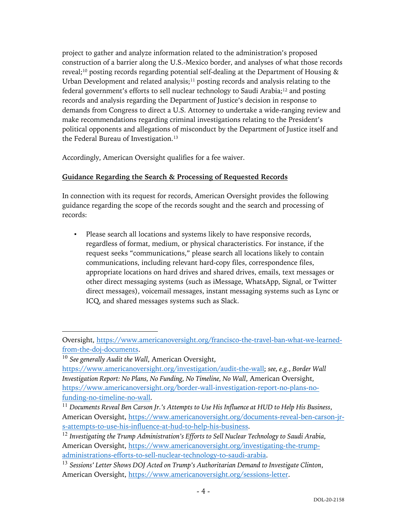project to gather and analyze information related to the administration's proposed construction of a barrier along the U.S.-Mexico border, and analyses of what those records reveal;<sup>10</sup> posting records regarding potential self-dealing at the Department of Housing  $\&$ Urban Development and related analysis; $11$  posting records and analysis relating to the federal government's efforts to sell nuclear technology to Saudi Arabia;<sup>12</sup> and posting records and analysis regarding the Department of Justice's decision in response to demands from Congress to direct a U.S. Attorney to undertake a wide-ranging review and make recommendations regarding criminal investigations relating to the President's political opponents and allegations of misconduct by the Department of Justice itself and the Federal Bureau of Investigation.<sup>13</sup>

Accordingly, American Oversight qualifies for a fee waiver.

# **Guidance Regarding the Search & Processing of Requested Records**

In connection with its request for records, American Oversight provides the following guidance regarding the scope of the records sought and the search and processing of records:

▪ Please search all locations and systems likely to have responsive records, regardless of format, medium, or physical characteristics. For instance, if the request seeks "communications," please search all locations likely to contain communications, including relevant hard-copy files, correspondence files, appropriate locations on hard drives and shared drives, emails, text messages or other direct messaging systems (such as iMessage, WhatsApp, Signal, or Twitter direct messages), voicemail messages, instant messaging systems such as Lync or ICQ, and shared messages systems such as Slack.

Oversight, https://www.americanoversight.org/francisco-the-travel-ban-what-we-learnedfrom-the-doj-documents.

<sup>10</sup> *See generally Audit the Wall*, American Oversight,

https://www.americanoversight.org/investigation/audit-the-wall; *see, e.g.*, *Border Wall Investigation Report: No Plans, No Funding, No Timeline, No Wall*, American Oversight, https://www.americanoversight.org/border-wall-investigation-report-no-plans-nofunding-no-timeline-no-wall.

<sup>11</sup> *Documents Reveal Ben Carson Jr.'s Attempts to Use His Influence at HUD to Help His Business*, American Oversight, https://www.americanoversight.org/documents-reveal-ben-carson-jrs-attempts-to-use-his-influence-at-hud-to-help-his-business.

<sup>12</sup> *Investigating the Trump Administration's Efforts to Sell Nuclear Technology to Saudi Arabia*, American Oversight, https://www.americanoversight.org/investigating-the-trumpadministrations-efforts-to-sell-nuclear-technology-to-saudi-arabia.

<sup>13</sup> *Sessions' Letter Shows DOJ Acted on Trump's Authoritarian Demand to Investigate Clinton*, American Oversight, https://www.americanoversight.org/sessions-letter.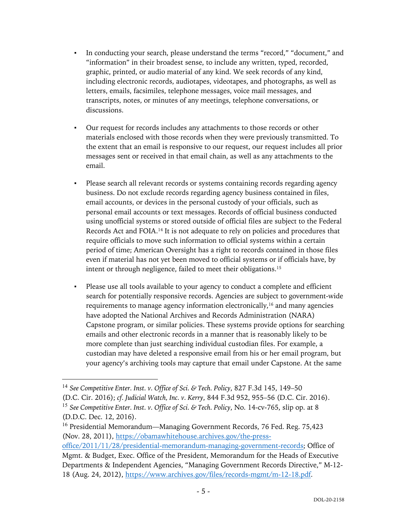- In conducting your search, please understand the terms "record," "document," and "information" in their broadest sense, to include any written, typed, recorded, graphic, printed, or audio material of any kind. We seek records of any kind, including electronic records, audiotapes, videotapes, and photographs, as well as letters, emails, facsimiles, telephone messages, voice mail messages, and transcripts, notes, or minutes of any meetings, telephone conversations, or discussions.
- Our request for records includes any attachments to those records or other materials enclosed with those records when they were previously transmitted. To the extent that an email is responsive to our request, our request includes all prior messages sent or received in that email chain, as well as any attachments to the email.
- Please search all relevant records or systems containing records regarding agency business. Do not exclude records regarding agency business contained in files, email accounts, or devices in the personal custody of your officials, such as personal email accounts or text messages. Records of official business conducted using unofficial systems or stored outside of official files are subject to the Federal Records Act and FOIA.14 It is not adequate to rely on policies and procedures that require officials to move such information to official systems within a certain period of time; American Oversight has a right to records contained in those files even if material has not yet been moved to official systems or if officials have, by intent or through negligence, failed to meet their obligations.15
- Please use all tools available to your agency to conduct a complete and efficient search for potentially responsive records. Agencies are subject to government-wide requirements to manage agency information electronically,<sup>16</sup> and many agencies have adopted the National Archives and Records Administration (NARA) Capstone program, or similar policies. These systems provide options for searching emails and other electronic records in a manner that is reasonably likely to be more complete than just searching individual custodian files. For example, a custodian may have deleted a responsive email from his or her email program, but your agency's archiving tools may capture that email under Capstone. At the same

<sup>14</sup> *See Competitive Enter. Inst. v. Office of Sci. & Tech. Policy*, 827 F.3d 145, 149–50 (D.C. Cir. 2016); *cf. Judicial Watch, Inc. v. Kerry*, 844 F.3d 952, 955–56 (D.C. Cir. 2016). <sup>15</sup> *See Competitive Enter. Inst. v. Office of Sci. & Tech. Policy*, No. 14-cv-765, slip op. at 8 (D.D.C. Dec. 12, 2016).

<sup>&</sup>lt;sup>16</sup> Presidential Memorandum—Managing Government Records, 76 Fed. Reg. 75,423 (Nov. 28, 2011), https://obamawhitehouse.archives.gov/the-pressoffice/2011/11/28/presidential-memorandum-managing-government-records; Office of

Mgmt. & Budget, Exec. Office of the President, Memorandum for the Heads of Executive Departments & Independent Agencies, "Managing Government Records Directive," M-12- 18 (Aug. 24, 2012), https://www.archives.gov/files/records-mgmt/m-12-18.pdf.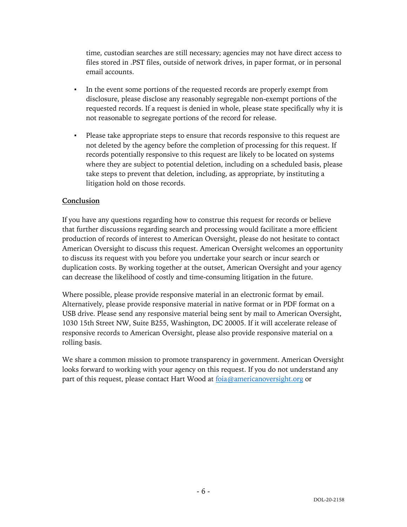time, custodian searches are still necessary; agencies may not have direct access to files stored in .PST files, outside of network drives, in paper format, or in personal email accounts.

- In the event some portions of the requested records are properly exempt from disclosure, please disclose any reasonably segregable non-exempt portions of the requested records. If a request is denied in whole, please state specifically why it is not reasonable to segregate portions of the record for release.
- Please take appropriate steps to ensure that records responsive to this request are not deleted by the agency before the completion of processing for this request. If records potentially responsive to this request are likely to be located on systems where they are subject to potential deletion, including on a scheduled basis, please take steps to prevent that deletion, including, as appropriate, by instituting a litigation hold on those records.

#### **Conclusion**

If you have any questions regarding how to construe this request for records or believe that further discussions regarding search and processing would facilitate a more efficient production of records of interest to American Oversight, please do not hesitate to contact American Oversight to discuss this request. American Oversight welcomes an opportunity to discuss its request with you before you undertake your search or incur search or duplication costs. By working together at the outset, American Oversight and your agency can decrease the likelihood of costly and time-consuming litigation in the future.

Where possible, please provide responsive material in an electronic format by email. Alternatively, please provide responsive material in native format or in PDF format on a USB drive. Please send any responsive material being sent by mail to American Oversight, 1030 15th Street NW, Suite B255, Washington, DC 20005. If it will accelerate release of responsive records to American Oversight, please also provide responsive material on a rolling basis.

We share a common mission to promote transparency in government. American Oversight looks forward to working with your agency on this request. If you do not understand any part of this request, please contact Hart Wood at foia@americanoversight.org or